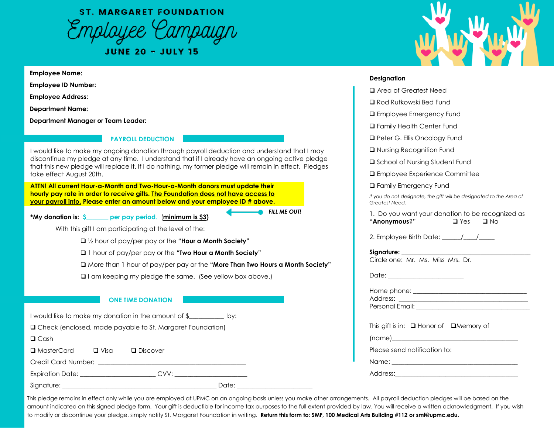**ST. MARGARET FOUNDATION** Employee Campaign

**JUNE 20 - JULY 15** 

### **Employee Name:**

**Employee ID Number:** 

**Employee Address:** 

**Department Name:** 

**Department Manager or Team Leader:** 

## **PAYROLL DEDUCTION**

I would like to make my ongoing donation through payroll deduction and understand that I may discontinue my pledge at any time. I understand that if I already have an ongoing active pledge that this new pledge will replace it. If I do nothing, my former pledge will remain in effect. Pledges take effect August 20th.

**ATTN! All current Hour-a-Month and Two-Hour-a-Month donors must update their hourly pay rate in order to receive gifts. The Foundation does not have access to your payroll info. Please enter an amount below and your employee ID # above.** 

*FILL ME OUT!*

With this gift I am participating at the level of the:

**\*My donation is: \$\_\_\_\_\_\_\_ per pay period**. (**minimum is \$3)**

❑ ½ hour of pay/per pay or the **"Hour a Month Society"** 

❑ 1 hour of pay/per pay or the **"Two Hour a Month Society"** 

❑ More than 1 hour of pay/per pay or the **"More Than Two Hours a Month Society"** 

❑ I am keeping my pledge the same. (See yellow box above.)

## **ONE TIME DONATION**

I would like to make my donation in the amount of \$\_\_\_\_\_\_\_\_\_\_\_ by:

❑ Check (enclosed, made payable to St. Margaret Foundation)

❑ Cash

❑ MasterCard ❑ Visa ❑ Discover

Credit Card Number: \_\_\_\_\_\_\_\_\_\_\_\_\_\_\_\_\_\_\_\_\_\_\_\_\_\_\_\_\_\_\_\_\_\_\_\_\_\_\_\_\_\_\_\_\_\_\_

Expiration Date: \_\_\_\_\_\_\_\_\_\_\_\_\_\_\_\_\_\_\_\_\_\_\_\_ CVV: \_\_\_\_\_\_\_\_\_\_\_\_\_\_\_\_\_\_\_\_\_\_\_

Signature: \_\_\_\_\_\_\_\_\_\_\_\_\_\_\_\_\_\_\_\_\_\_\_\_\_\_\_\_\_\_\_\_\_\_\_\_\_\_\_\_\_\_\_\_\_\_\_\_\_ Date: \_\_\_\_\_\_\_\_\_\_\_\_\_\_\_\_\_\_\_\_\_\_\_\_

### **Designation**

- ❑ Area of Greatest Need
- ❑ Rod Rutkowski Bed Fund
- ❑ Employee Emergency Fund
- ❑ Family Health Center Fund
- ❑ Peter G. Ellis Oncology Fund
- ❑ Nursing Recognition Fund
- ❑ School of Nursing Student Fund
- ❑ Employee Experience Committee
- ❑ Family Emergency Fund

*If you do not designate, the gift will be designated to the Area of Greatest Need.*

1. Do you want your donation to be recognized as "**Anonymous**?" ❑ Yes ❑ No

2. Employee Birth Date: \_\_\_\_\_\_/\_\_\_/

| Circle one: Mr. Ms. Miss Mrs. Dr.                 |  |
|---------------------------------------------------|--|
| Date: _________________________                   |  |
|                                                   |  |
|                                                   |  |
|                                                   |  |
|                                                   |  |
|                                                   |  |
| This gift is in: $\Box$ Honor of $\Box$ Memory of |  |
|                                                   |  |
| Please send notification to:                      |  |
|                                                   |  |
|                                                   |  |

This pledge remains in effect only while you are employed at UPMC on an ongoing basis unless you make other arrangements. All payroll deduction pledges will be based on the amount indicated on this signed pledge form. Your gift is deductible for income tax purposes to the full extent provided by law. You will receive a written acknowledgment. If you wish to modify or discontinue your pledge, simply notify St. Margaret Foundation in writing. **Return this form to: SMF, 100 Medical Arts Building #112 or smf@upmc.edu.**